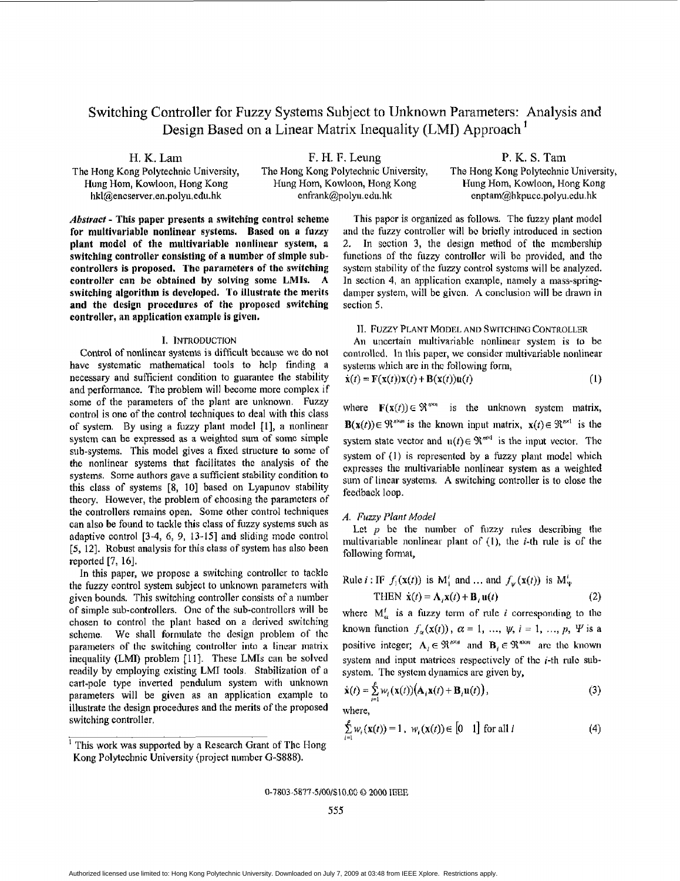# Switching Controller for **Fuzzy** Systems Subject to Unknown Parameters: Analysis and Design Based on **a** Linear Matrix Inequality (LMI) Approach '

H. K. Lam The Hong Kong Polytechnic University, **Hung** Hom, **Kowloon,** Hong Kong

F. **R.** F. Leung The Hong Kong Polytechnic University, Hung Hom, Kowloon, **Wong** Kong hkl@encserver,en.polyu,edu.hk enfrank@polyu.edu.hk enptam@hkpucc.polyu.edu.hk

**P.** I<. **S.** Tam The Hong Kong Polytechnic University, **Hung Hom,** Kowloon, **Hong** Kong

*Alrstrmt* - **This paper** presents **a switching control** scheme **for multivariable nonlinear systems. Based on a fuzzy**  plant **model of the** multivariable nonlinear **system, a**  switching controller consisting of a number of simple sub**controllers is proposed. The parameters of the switching controller can be** obtained **by solvitig some LMls. A switching algorithm is** developed. **To illustrate the merits and the design procedures of the proposed switching controller, nn application example** is **given.** 

#### **I.** INTRODUCTION

Control of nonlinear systems is difficult because we do not **have systematic** mathematical tools to help finding a necessary and sufficient condition to guarantee the stability and **performance.** The **problem** will **become** morc complex if some of the parameters of the plant are unknown. Fuzzy control is one of the control techniques to deal with this class of system. By using a **fuzzy plant** model 111, **a** nonlinear **systcm** can bc **expressed** as a weighted sum of **somc simple**  sub-systems. This model gives **a fixed** structure *to* some of **the** nonlincar systems that facilitatcs thc analysis of the systems. Some authors **gave** a sufficient stability condition **to**  this class of systems **[S,** 103 based on Lyapunov stability theory. However, the **problem of** choosing the paramctcrs of the controllers **remains** open. Some other control techniques can also be found to tackle this class of **fuzzy** systems such as adaptive control [3-4, 6, 9, 13-15] and sliding mode control *[5,* 121. Robust analysis for this class **of** system has also been **reported** [7, **161.** 

In this paper, we **propose a** switching controller to tacklc the fuzzy control system subject to unknown parameters **with**  givcn bounds. This switching controller consists of a number of simple sub-controllers. One of the sub-controllers will be chosen to control the plant **based** on a derived switching scheme. **We** shall **formulate** the design problcm of thc parameters **of** thc switching controltcr into **a** linear matrix inequality (LMI) problem [11]. These LMIs can be solved readily **by** employing cxisting **LMI** tools. Stabilization **of** a cart-pole type inverted pendulum system with unknown parameters will be **given** as an application example to illustrate the design procedures and **the** merits *of* the proposed switching controller.

This **papcr** is organized as follows. The fuzzy **plant** model and the **fuzzy** controller will bc bricfly introduced in section 2. In section 3, the design method of the membership functions of thc fiizzy controller will be providcd, **and** the systcin stability of tlie **fuzzy** control **systcins** will be analyzed. In section 4, **an** application example, **namcly** a mass-springdamper system, will be givcn. **A** conclusion will be drawn in section **5.** 

#### 11. **FUZZY PLANT MODEL AND SWITCHING** CONTROLLER

**Ai1** uncertain niultivariablc nonlinear **system is** to be controlled. In **this** paper, **we** considcr multivariable nonlinear systems which arc in thc following form,

$$
\dot{\mathbf{x}}(t) = \mathbf{F}(\mathbf{x}(t))\mathbf{x}(t) + \mathbf{B}(\mathbf{x}(t))\mathbf{u}(t)
$$
\n(1)

where  $\mathbf{F}(\mathbf{x}(t)) \in \mathbb{R}^{n \times n}$  is the unknown system matrix, **B**( $\mathbf{x}(t)$ ) $\in \mathbb{R}^{n \times m}$  is the known input matrix,  $\mathbf{x}(t) \in \mathbb{R}^{n \times 1}$  is the system state vector and  $u(t) \in \mathbb{R}^{m \times l}$  is the input vector. The system of (1) is represented by a **fuzzy plant** model which expresses the multivariable nonlinear system as a weighted sum of **lincar** systems. **A** switching controller **is** to close the feedback loop.

## A. Fuzzy Plant Model

Let  $p$  be the number of fuzzy rules describing the multivariable nonlinear plant of (1), the *i*-th rule is of the following formal,

Rule *i*: IF 
$$
f_1(\mathbf{x}(t))
$$
 is M<sub>i</sub><sup>*i*</sup> and ... and  $f_{\psi}(\mathbf{x}(t))$  is M<sub>*u*</sub><sup>*i*</sup>  
THEN  $\dot{\mathbf{x}}(t) = \mathbf{A}_i \mathbf{x}(t) + \mathbf{B}_i \mathbf{u}(t)$  (2)

where  $M_{\alpha}^{i}$  is a fuzzy term of rule *i* corresponding to the known function  $f_{\alpha}(x(t))$ ,  $\alpha = 1$ , ...,  $\psi$ ,  $i = 1$ , ...,  $p$ ,  $\Psi$  is a positive integer;  $A_i \in \mathbb{R}^{n \times n}$  and  $B_i \in \mathbb{R}^{n \times m}$  are the known system and input matrices respectively of the  $i$ -th rule subsystem. The system dynamics are given by,

$$
\dot{\mathbf{x}}(t) = \sum_{i=1}^{p} w_i(\mathbf{x}(t)) \big( \mathbf{A}_i \mathbf{x}(t) + \mathbf{B}_i \mathbf{u}(t) \big), \tag{3}
$$

**where,** 

$$
\sum_{i=1}^{p} w_i(\mathbf{x}(t)) = 1, \ w_i(\mathbf{x}(t)) \in [0 \quad 1] \text{ for all } i \tag{4}
$$

0-7803-5877-5/00/\$10.00 @ 2000 IEEE

<sup>&</sup>lt;sup>1</sup> This work was supported by a Research Grant of The Hong Kong Polytechnic University (project number G-S888).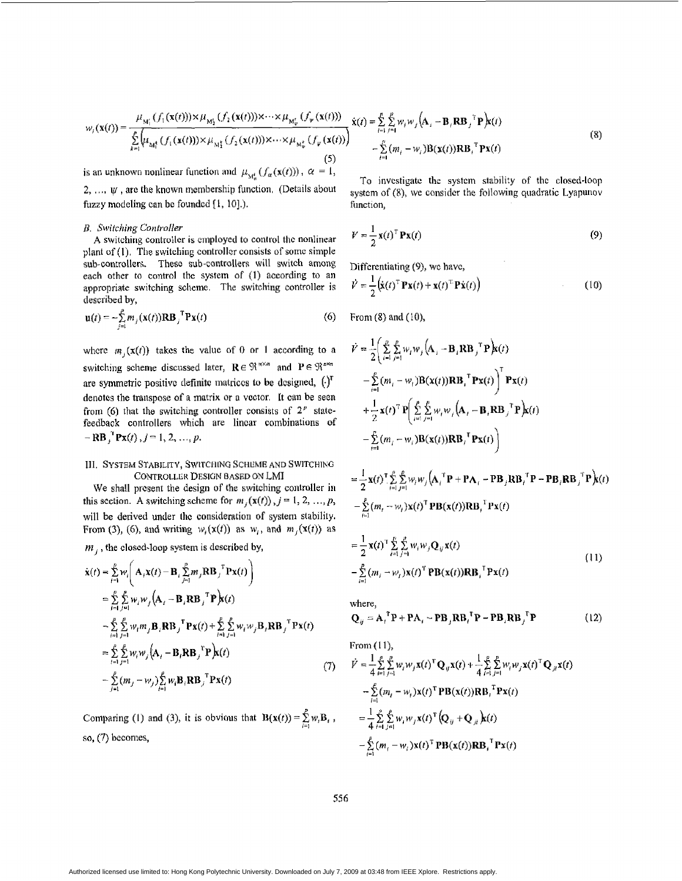$$
w_{j}(\mathbf{x}(t)) = \frac{\mu_{M'_{1}}(f_{1}(\mathbf{x}(t))) \times \mu_{M'_{2}}(f_{2}(\mathbf{x}(t))) \times \cdots \times \mu_{M'_{\nu}}(f_{\nu}(\mathbf{x}(t)))}{\sum_{k=1}^{p} \mu_{M'_{1}}(f_{1}(\mathbf{x}(t))) \times \mu_{M'_{2}}(f_{2}(\mathbf{x}(t))) \times \cdots \times \mu_{M'_{\nu}}(f_{\nu}(\mathbf{x}(t)))} \times (\mathbf{S}) - \sum_{i=1}^{p} \mu_{i} \nu_{i} \nu_{i}(\mathbf{x}(t)) \mathbf{R} \mathbf{B}_{i}^{\mathrm{T}} \mathbf{P} \mathbf{x}(t)
$$
\n
$$
-\sum_{i=1}^{p} (m_{i} - w_{i}) \mathbf{B}(\mathbf{x}(t)) \mathbf{R} \mathbf{B}_{i}^{\mathrm{T}} \mathbf{P} \mathbf{x}(t)
$$
\n
$$
(8)
$$

is an unknown nonlinear function and  $\mu_{M_{\alpha}}(f_{\alpha}(\mathbf{x}(t)))$ ,  $\alpha = 1$ , 2,  $\ldots$ ,  $\psi$ , are the known membership function. (Details about **fuzzy** modeling can be foundcd **(1,** lo].).

#### *B. Switching Conlroller*

**A** switching controllcr **is employed** to **control** thc **nonlinear**  plant **af** (I), The switching controllcr **consists** of somc **simple sub-controllers.** Thesc sub-controllers **will** switch among each other **to** control the **system** of **(1)** according to an appropriate **switching** scheme. The switching controller is described **by,** 

$$
\mathbf{u}(t) = -\sum_{j=1}^{p} m_j(\mathbf{x}(t)) \mathbf{R} \mathbf{B}_j^{\mathrm{T}} \mathbf{P} \mathbf{x}(t)
$$
 (6)

where  $m_i(\mathbf{x}(t))$  takes the value of 0 or 1 according to a switching scheme discussed later,  $\mathbf{R} \in \mathbb{R}^{m \times n}$  and  $\mathbf{P} \in \mathbb{R}^{n \times n}$ are symmetric positive definite matrices to be designed,  $(\cdot)^T$ denotes the transpose of a matrix or a vector. It can be seen from (6) that the switching controller consists of  $2^p$  statefeedback controllers which are **lincar** combinations **of**   $-$  **RB**  $\int_1^T P x(t)$ ,  $j = 1, 2, ..., p$ .

## 111. **SYSTEM STARIL[TY,** SWlTCIllNG **SCHEME AND SWITCHING CONTROLLER** DESIGN **UASED** ON LMI

We shall prcscnt the design **of the** switching controller in this section. A switching scheme for  $m_i(\mathbf{x}(t)), j = 1, 2, ..., p$ , will be **derived** under thc consideration **of system** stability. From (3), (6), and writing  $w_i(x(t))$  as  $w_i$ , and  $m_j(x(t))$  as

 $m_i$ , the closed-loop system is described by,

$$
\dot{\mathbf{x}}(t) = \sum_{i=1}^{p} w_{i} \bigg( \mathbf{A}_{i} \mathbf{x}(t) - \mathbf{B}_{i} \sum_{j=1}^{p} m_{j} \mathbf{R} \mathbf{B}_{j}^{\top} \mathbf{P} \mathbf{x}(t) \bigg)
$$
\n
$$
= \sum_{i=1}^{p} \sum_{j=1}^{p} w_{i} w_{j} \bigg( \mathbf{A}_{i} - \mathbf{B}_{i} \mathbf{R} \mathbf{B}_{j}^{\top} \mathbf{P} \bigg) \mathbf{x}(t)
$$
\n
$$
- \sum_{i=1}^{p} \sum_{j=1}^{p} w_{i} m_{j} \mathbf{B}_{i} \mathbf{R} \mathbf{B}_{j}^{\top} \mathbf{P} \mathbf{x}(t) + \sum_{i=1}^{p} \sum_{j=1}^{p} w_{i} w_{j} \mathbf{B}_{i} \mathbf{R} \mathbf{B}_{j}^{\top} \mathbf{P} \mathbf{x}(t)
$$
\n
$$
= \sum_{i=1}^{p} \sum_{j=1}^{p} w_{i} w_{j} \bigg( \mathbf{A}_{i} - \mathbf{B}_{i} \mathbf{R} \mathbf{B}_{j}^{\top} \mathbf{P} \bigg) \mathbf{x}(t)
$$
\n
$$
- \sum_{j=1}^{p} (m_{j} - w_{j}) \sum_{i=1}^{p} w_{i} \mathbf{B}_{i} \mathbf{R} \mathbf{B}_{j}^{\top} \mathbf{P} \mathbf{x}(t)
$$
\n(7)

Comparing (1) and (3), it is obvious that  $B(x(t)) = \sum_{i=1}^{n} w_i B_i$ , **so,** (7) becomes,

To **invcstigatc** the systcin stability of thc closed-loop system of (8), we consider the following quadratic Lyapunov function,

$$
V = \frac{1}{2} \mathbf{x}(t)^{\mathrm{T}} \mathbf{P} \mathbf{x}(t)
$$
 (9)

Differentiating (9), we have,

$$
\dot{V} = \frac{1}{2} \left( \dot{\mathbf{x}}(t)^{\mathrm{T}} \mathbf{P} \mathbf{x}(t) + \mathbf{x}(t)^{\mathrm{T}} \mathbf{P} \dot{\mathbf{x}}(t) \right)
$$
(10)

From **(8)** and **(IO),** 

$$
\dot{V} = \frac{1}{2} \Biggl( \sum_{i=1}^{p} \sum_{j=1}^{p} w_i w_j \Bigl( \mathbf{A}_i - \mathbf{B}_i \mathbf{R} \mathbf{B}_j^{\mathrm{T}} \mathbf{P} \Bigr) \mathbf{k}(t) \n- \sum_{i=1}^{p} (m_i - w_i) \mathbf{B} (\mathbf{x}(t)) \mathbf{R} \mathbf{B}_i^{\mathrm{T}} \mathbf{P} \mathbf{x}(t) \Biggr)^{\mathrm{T}} \mathbf{P} \mathbf{x}(t) \n+ \frac{1}{2} \mathbf{x}(t)^{\mathrm{T}} \mathbf{P} \Biggl( \sum_{i=1}^{p} \sum_{j=1}^{p} w_i w_j \Bigl( \mathbf{A}_i - \mathbf{B}_i \mathbf{R} \mathbf{B}_j^{\mathrm{T}} \mathbf{P} \Bigr) \mathbf{k}(t) \n- \sum_{i=1}^{p} (m_i - w_i) \mathbf{B} (\mathbf{x}(t)) \mathbf{R} \mathbf{B}_i^{\mathrm{T}} \mathbf{P} \mathbf{x}(t) \Biggr) \n= \frac{1}{2} \mathbf{x}(t)^{\mathrm{T}} \sum_{i=1}^{p} \sum_{j=1}^{p} w_i w_j \Bigl( \mathbf{A}_i^{\mathrm{T}} \mathbf{P} + \mathbf{P} \mathbf{A}_i - \mathbf{P} \mathbf{B}_j \mathbf{R} \mathbf{B}_i^{\mathrm{T}} \mathbf{P} - \mathbf{P} \mathbf{B}_i \mathbf{R} \mathbf{B}_j^{\mathrm{T}} \mathbf{P} \Bigr) \mathbf{k}(t)
$$

$$
= \frac{1}{2}\mathbf{x}(t) \sum_{i=1}^{n} \sum_{j=1}^{n} w_{i}w_{j}(\mathbf{A}_{i}^{T} \mathbf{F} + \mathbf{F}\mathbf{A}_{i}^{T} - \mathbf{F}\mathbf{B}_{j}\mathbf{K}\mathbf{B}_{i}^{T} \mathbf{F} - \mathbf{F}\mathbf{B}_{i}\mathbf{K}\mathbf{B}_{j}^{T} \mathbf{F}_{j}(t))
$$
  

$$
- \sum_{i=1}^{p} (m_{i} - w_{i})\mathbf{x}(t)^{T} \mathbf{P}\mathbf{B}(\mathbf{x}(t)) \mathbf{R}\mathbf{B}_{i}^{T} \mathbf{P}\mathbf{x}(t)
$$

$$
= \frac{1}{2} \mathbf{x}(t)^{\mathrm{T}} \sum_{i=1}^{p} \sum_{j=1}^{p} w_{i} w_{j} \mathbf{Q}_{ij} \mathbf{x}(t)
$$
  
-
$$
\sum_{i=1}^{p} (m_{i} - w_{i}) \mathbf{x}(t)^{\mathrm{T}} \mathbf{P} \mathbf{B}(\mathbf{x}(t)) \mathbf{R} \mathbf{B}_{i}^{\mathrm{T}} \mathbf{P} \mathbf{x}(t)
$$
 (11)

 $(12)$ 

where,  $\mathbf{Q}_{ij} = \mathbf{A}_i^{\mathsf{T}} \mathbf{P} + \mathbf{P} \mathbf{A}_i - \mathbf{P} \mathbf{B}_j \mathbf{R} \mathbf{B}_i^{\mathsf{T}} \mathbf{P} - \mathbf{P} \mathbf{B}_i \mathbf{R} \mathbf{B}_j^{\mathsf{T}} \mathbf{P}$ 

From (11),  
\n
$$
\dot{V} = \frac{1}{4} \sum_{i=1}^{p} \sum_{j=1}^{p} w_{i} w_{j} \mathbf{x}(t)^{\mathsf{T}} \mathbf{Q}_{ij} \mathbf{x}(t) + \frac{1}{4} \sum_{i=1}^{p} \sum_{j=1}^{p} w_{i} w_{j} \mathbf{x}(t)^{\mathsf{T}} \mathbf{Q}_{ji} \mathbf{x}(t)
$$
\n
$$
- \sum_{i=1}^{p} (m_{i} - w_{i}) \mathbf{x}(t)^{\mathsf{T}} \mathbf{P} \mathbf{B}(\mathbf{x}(t)) \mathbf{R} \mathbf{B}_{i}^{\mathsf{T}} \mathbf{P} \mathbf{x}(t)
$$
\n
$$
= \frac{1}{4} \sum_{i=1}^{p} \sum_{j=1}^{p} w_{i} w_{j} \mathbf{x}(t)^{\mathsf{T}} (\mathbf{Q}_{ij} + \mathbf{Q}_{ji}) \mathbf{x}(t)
$$
\n
$$
- \sum_{i=1}^{p} (m_{i} - w_{i}) \mathbf{x}(t)^{\mathsf{T}} \mathbf{P} \mathbf{B}(\mathbf{x}(t)) \mathbf{R} \mathbf{B}_{i}^{\mathsf{T}} \mathbf{P} \mathbf{x}(t)
$$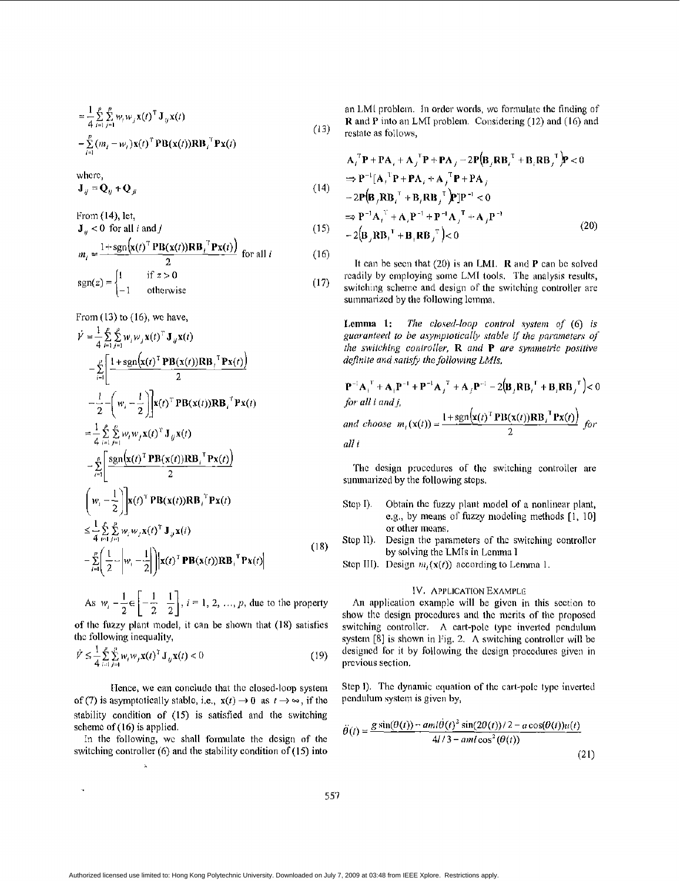$$
= \frac{1}{4} \sum_{i=1}^{p} \sum_{j=1}^{p} w_{i} w_{j} \mathbf{x}(t)^{\mathsf{T}} \mathbf{J}_{ij} \mathbf{x}(t)
$$
  
-
$$
\sum_{i=1}^{p} (m_{i} - w_{i}) \mathbf{x}(t)^{\mathsf{T}} \mathbf{P} \mathbf{B}(\mathbf{x}(t)) \mathbf{R} \mathbf{B}_{i}^{-1} \mathbf{P} \mathbf{x}(t)
$$
 (13)

where,

$$
\mathbf{J}_{ij} = \mathbf{Q}_{ij} + \mathbf{Q}_{ji} \tag{14}
$$

From  $(14)$ , let,

$$
\mathbf{J}_{ij} < 0 \quad \text{for all } i \text{ and } j \tag{15}
$$
\n
$$
\mathbf{J}_{ij} = \left[ \mathbf{J}_{ij} \mathbf{J}_{ij} \mathbf{J}_{ij} \mathbf{J}_{ij} \mathbf{J}_{ij} \mathbf{J}_{ij} \mathbf{J}_{ij} \mathbf{J}_{ij} \mathbf{J}_{ij} \mathbf{J}_{ij} \mathbf{J}_{ij} \mathbf{J}_{ij} \mathbf{J}_{ij} \mathbf{J}_{ij} \mathbf{J}_{ij} \right]
$$

$$
m_i = \frac{1 + \text{sgn}(\mathbf{x}(i) + \mathbf{B}(\mathbf{x}(i))\mathbf{R}\mathbf{B}_i + \mathbf{r}\mathbf{x}(i))}{2} \text{ for all } i \tag{16}
$$

$$
sgn(z) = \begin{cases} 1 & \text{if } z > 0 \\ -1 & \text{otherwise} \end{cases}
$$
 (17)

From (13) to **(16), wc** have,

$$
\dot{V} = \frac{1}{4} \sum_{i=1}^{p} \sum_{j=1}^{p} w_{i} w_{j} \mathbf{x}(t)^{\mathrm{T}} \mathbf{J}_{ij} \mathbf{x}(t)
$$
\n
$$
- \sum_{i=1}^{p} \left[ \frac{1 + \mathrm{sgn}(\mathbf{x}(t)^{\mathrm{T}} \mathbf{P} \mathbf{B}(\mathbf{x}(t)) \mathbf{R} \mathbf{B}_{i}^{\mathrm{T}} \mathbf{P} \mathbf{x}(t))}{2} \right]
$$
\n
$$
- \frac{1}{2} - \left( w_{i} - \frac{1}{2} \right) \left[ \mathbf{x}(t)^{\mathrm{T}} \mathbf{P} \mathbf{B}(\mathbf{x}(t)) \mathbf{R} \mathbf{B}_{i}^{\mathrm{T}} \mathbf{P} \mathbf{x}(t) \right]
$$
\n
$$
= \frac{1}{4} \sum_{i=1}^{p} \sum_{j=1}^{p} w_{i} w_{j} \mathbf{x}(t)^{\mathrm{T}} \mathbf{J}_{ij} \mathbf{x}(t)
$$
\n
$$
- \sum_{i=1}^{p} \left[ \frac{\mathrm{sgn}(\mathbf{x}(t)^{\mathrm{T}} \mathbf{P} \mathbf{B}(\mathbf{x}(t)) \mathbf{R} \mathbf{B}_{i}^{\mathrm{T}} \mathbf{P} \mathbf{x}(t))}{2} \right]
$$
\n
$$
\left( w_{i} - \frac{1}{2} \right) \left| \mathbf{x}(t)^{\mathrm{T}} \mathbf{P} \mathbf{B}(\mathbf{x}(t)) \mathbf{R} \mathbf{B}_{i}^{\mathrm{T}} \mathbf{P} \mathbf{x}(t) \right|
$$
\n
$$
\leq \frac{1}{4} \sum_{i=1}^{p} \sum_{j=1}^{p} w_{i} w_{j} \mathbf{x}(t)^{\mathrm{T}} \mathbf{J}_{ij} \mathbf{x}(t)
$$
\n
$$
- \sum_{i=1}^{p} \left( \frac{1}{2} - \left| w_{i} - \frac{1}{2} \right| \right) \left| \mathbf{x}(t)^{\mathrm{T}} \mathbf{P} \mathbf{B}(\mathbf{x}(t)) \mathbf{R} \mathbf{B}_{i}^{\mathrm{T}} \mathbf{P} \mathbf{x}(t) \right|
$$
\n(18)

As  $w_i - \frac{1}{2} \in \left[ -\frac{1}{2}, \frac{1}{2} \right]$ ,  $i = 1, 2, ..., p$ , due to the property

**of the fuzzy plant model, it can be shown that (18) satisfies** the following inequality,

$$
\dot{Y} \le \frac{1}{4} \sum_{i=1}^{p} \sum_{j=1}^{p} w_i w_j \mathbf{x}(t)^T \mathbf{J}_{y} \mathbf{x}(t) < 0 \tag{19}
$$

IIcnce, **we** can concludc that thc closed-loop system of (7) is asymptotically stable, i.e.,  $x(t) \rightarrow 0$  as  $t \rightarrow \infty$ , if the stability condition of (15) is satisfied and **the** switching schemc **of (16)** is applied.

in the following, wc **shall forniulate** the dcsign **of** thc switching controller (6) and the stability condition of (15) into

 $\mathbf{k}$ 

an LML prablem. In order words, wc forniulatc **the** finding of **R** and **P** into an LMI problem. Considering (12) and (16) and restatc as follows,

 $\mathcal{L}$ 

$$
\mathbf{A}_{j}^{\top} \mathbf{P} + \mathbf{P} \mathbf{A}_{j} + \mathbf{A}_{j}^{\top} \mathbf{P} + \mathbf{P} \mathbf{A}_{j} - 2 \mathbf{P} (\mathbf{B}_{j} \mathbf{R} \mathbf{B}_{j}^{\top} + \mathbf{B}_{j} \mathbf{R} \mathbf{B}_{j}^{\top}) \mathbf{P} < 0
$$
\n
$$
\Rightarrow \mathbf{P}^{-1} [\mathbf{A}_{j}^{\top} \mathbf{P} + \mathbf{P} \mathbf{A}_{j} + \mathbf{A}_{j}^{\top} \mathbf{P} + \mathbf{P} \mathbf{A}_{j}
$$
\n
$$
- 2 \mathbf{P} (\mathbf{B}_{j} \mathbf{R} \mathbf{B}_{j}^{\top} + \mathbf{B}_{j} \mathbf{R} \mathbf{B}_{j}^{\top}) \mathbf{P} ] \mathbf{P}^{-1} < 0
$$
\n
$$
\Rightarrow \mathbf{P}^{-1} \mathbf{A}_{j}^{\top} + \mathbf{A}_{j} \mathbf{P}^{-1} + \mathbf{P}^{-1} \mathbf{A}_{j}^{\top} + \mathbf{A}_{j} \mathbf{P}^{-1}
$$
\n
$$
- 2 (\mathbf{B}_{j} \mathbf{R} \mathbf{B}_{j}^{\top} + \mathbf{B}_{j} \mathbf{R} \mathbf{B}_{j}^{\top}) < 0
$$
\n(20)

It can be seen that  $(20)$  is an LMI. **R** and **P** can be solved readily by employing some LMI tools. The analysis results, switching schemc and design of the switching controller are summarized by the following lemma.

**Lemma** 1: The closed-loop control system of  $(6)$  is guaranteed to be asymptotically stable if the parameters of the switching controller,  $R$  and  $P$  are symmetric positive definite and satisfy the following LMIs,

$$
\mathbf{P}^{-1}\mathbf{A}_i^T + \mathbf{A}_i \mathbf{P}^{-1} + \mathbf{P}^{-1}\mathbf{A}_j^T + \mathbf{A}_j \mathbf{P}^{-1} - 2(\mathbf{B}_j \mathbf{R} \mathbf{B}_i^T + \mathbf{B}_i \mathbf{R} \mathbf{B}_j^T) < 0
$$
  
for all *i* and *j*,  
and choose  $m_i(\mathbf{x}(t)) = \frac{1 + \text{sgn}(\mathbf{x}(t)^T \mathbf{P} \mathbf{B}(\mathbf{x}(t)) \mathbf{R} \mathbf{B}_i^T \mathbf{P} \mathbf{x}(t))}{2}$  for  
all *i*

The design procedures of the switching controller are summarizcd by the following steps,

- **Stcp** I). Obtain thc fuzzy plant niodel **of** a nonlinear plant, e.g., by means of fuzzy modeling methods [1, 10] or **ottiar** imam.
- Step II). Design the parameters of the switching controller by solving the LMIs in Lemma I
- Step III). Design  $m_i(\mathbf{x}(t))$  according to Lemma 1.

# IV. APPLICATION EXAMPLE

An application example will be given in this section to show the design procedures and the merits of the proposed switching controller. A cart-pole type inverted pendulum **systetn** [E] is shown in Yig. 2. **A** switching controllcr will be designed for it by following the design procedures given in prcvious section,

Step I). The dynamic equation of the cart-pole type inverted pcndulum **systctn** is given by,

$$
\ddot{\theta}(t) = \frac{g \sin(\theta(t)) - am l \dot{\theta}(t)^2 \sin(2\theta(t))/2 - a \cos(\theta(t))u(t)}{4l/3 - aml \cos^2(\theta(t))}
$$
\n(21)

Authorized licensed use limited to: Hong Kong Polytechnic University. Downloaded on July 7, 2009 at 03:48 from IEEE Xplore. Restrictions apply.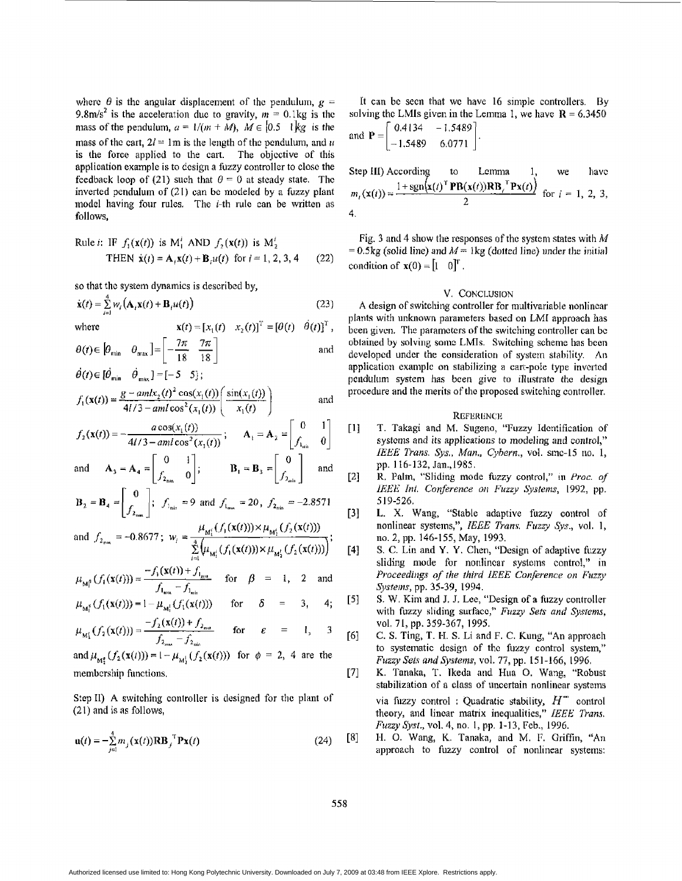where  $\theta$  is the angular displacement of the pendulum,  $g =$ 9.8m/s<sup>2</sup> is the acceleration due to gravity,  $m = 0.1$ kg is the mass of the pendulum,  $a = 1/(m + M)$ ,  $M \in [0.5 \ 1]$ kg is the mass of the cart,  $2l = 1m$  is the length of the pendulum, and *u* is the force applied to the cart. The objective of this application example is to design a fuzzy controller to close the **feedback** loop of (21) such that  $\theta = 0$  at steady state. The inverted pendulum of (21) can be modeled by a **fuzzy** plant model having four rules. The *i*-th rule can be written as follows,

Rule *i*: IF 
$$
f_1(\mathbf{x}(t))
$$
 is M<sup>1</sup><sub>1</sub> AND  $f_2(\mathbf{x}(t))$  is M<sup>1</sup><sub>2</sub>  
THEN  $\dot{\mathbf{x}}(t) = \mathbf{A}_1 \mathbf{x}(t) + \mathbf{B}_1 u(t)$  for  $t = 1, 2, 3, 4$  (22)

**so** that the system dynamics is described **by,** 

$$
\dot{\mathbf{x}}(t) = \sum_{i=1}^{n} w_i \left( \mathbf{A}_i \mathbf{x}(t) + \mathbf{B}_i u(t) \right)
$$
 (23)

where  $\mathbf{x}(t) = [x_1(t) \quad x_2(t)]^T = [\theta(t) \quad \dot{\theta}(t)]^T$ ,

$$
\theta(t) \in [\theta_{\min} \quad \theta_{\max}] = \left[ -\frac{7\pi}{18} \frac{7\pi}{18} \right] \qquad \text{and}
$$
  

$$
\theta(t) \in [\theta_{\min} \quad \theta_{\max}] = [-5 \quad 5];
$$

$$
f_1(\mathbf{x}(t)) = \frac{g - a m l x_2(t)^2 \cos(x_1(t))}{4l/3 - a m l \cos^2(x_1(t))} \left( \frac{\sin(x_1(t))}{x_1(t)} \right)
$$
 and

$$
f_2(\mathbf{x}(t)) = -\frac{a \cos(x_1(t))}{4l/3 - aml \cos^2(x_1(t))}; \quad \mathbf{A}_1 = \mathbf{A}_2 = \begin{bmatrix} 0 & 1 \\ f_1 & 0 \end{bmatrix}
$$

and 
$$
\mathbf{A}_3 = \mathbf{A}_4 = \begin{bmatrix} 0 & 1 \\ f_{2_{\text{max}}} & 0 \end{bmatrix}
$$
;  $\mathbf{B}_1 = \mathbf{B}_3 = \begin{bmatrix} 0 \\ f_{2_{\text{min}}} \end{bmatrix}$  and

$$
\mathbf{B}_2 = \mathbf{B}_4 = \begin{bmatrix} 0 \\ f_{2_{\text{max}}}\end{bmatrix}; \quad f_{1_{\text{min}}} = 9 \text{ and } f_{1_{\text{max}}} = 20, \quad f_{2_{\text{min}}} = -2.8571
$$

and 
$$
f_{2_{\text{max}}} = -0.8677
$$
;  $w_i = \frac{\mu_{M_1^i}(f_1(\mathbf{x}(t))) \times \mu_{M_2^i}(f_2(\mathbf{x}(t)))}{\sum_{i=1}^4 (\mu_{M_1^i}(f_1(\mathbf{x}(t))) \times \mu_{M_2^i}(f_2(\mathbf{x}(t)))})$ ;

$$
\mu_{\mathbf{M}_{\mathbf{I}}^{\beta}}(f_{1}(\mathbf{x}(t))) = \frac{-f_{1}(\mathbf{x}(t)) + f_{1_{\max}}}{f_{1_{\max}} - f_{1_{\min}}} \quad \text{for} \quad \beta = 1, \quad 2 \quad \text{and}
$$

$$
\mu_{M_1^{\delta}}(f_1(\mathbf{x}(t))) = 1 - \mu_{M_1^{\delta}}(f_1(\mathbf{x}(t))) \quad \text{for} \quad \delta = 3, \quad 4;
$$

$$
\mu_{M_1'}(f_2(\mathbf{x}(t))) = \frac{-f_2(\mathbf{x}(t)) + f_{2_{max}}}{f_{2_{max}} - f_{2_{min}}} \quad \text{for} \quad \varepsilon = 1, \quad 3
$$

and  $\mu_{M_2^e}(f_2(x(t))) = 1 - \mu_{M_2^1}(f_2(x(t)))$  for  $\phi = 2, 4$  are the membcrship functions.

**Step II)** A switching controller is designed for the plant of (2 I) and is **as** follows,

$$
\mathbf{u}(t) = -\sum_{j=1}^{4} m_j(\mathbf{x}(t)) \mathbf{R} \mathbf{B}_j^{\ \mathrm{T}} \mathbf{P} \mathbf{x}(t)
$$
 (24)

It can be seen that we have 16 simple controllers. By solving the LMIs given in the Lemma 1, we have  $R = 6.3450$ 

and 
$$
P = \begin{bmatrix} 0.4134 & -1.5489 \\ -1.5489 & 6.0771 \end{bmatrix}
$$
.

Step III) According to Lemma 1, we have  
\n
$$
m_i(\mathbf{x}(t)) = \frac{1 + \text{sgn}(\mathbf{x}(t)^{\text{T}} \mathbf{PB}(\mathbf{x}(t)) \mathbf{RB}_i^{\text{T}} \mathbf{Px}(t))}{2}
$$
 for  $i = 1, 2, 3$ ,  
\n4.

Fig. **3** and **4** show the rcsponses of thc systcm states with *Ad*   $= 0.5$ kg (solid line) and  $M = 1$ kg (dotted line) under the initial condition of  $\mathbf{x}(0) = \begin{bmatrix} 1 \\ 0 \end{bmatrix}^T$ .

#### V. CONCLUSION

A design of switching controller for multivariable nonlinear plants with unknown parameters based on LMI approach has been given. The **paramctcrs of** the switching controller can bc obtained by solving sonic LMIs. Switching scheme **has** bcen dcvelopcd under the consideration **of** system stability. **An**  application example on stabilizing a cart-pole type inverted pendulum system has been give to illustrate the design procedure and the merits of the proposed switching controller.

#### **REFERENCH**

- [I] **T.** Takagi and M. Sngeno, ''Fuzzy Idcntificalion of systcms and *its* applications to modeling and **control,"**  *IEEE* lkans. *Sys., Mun., Cyhern.,* vol. sinc-15 110. 1, **pp. 116-132,** Jan.,1985.
- **K. l'alin, "Sliding** mode fuzzy **control,"** in *Proc. of IEEE Int. Conference on Fuzzy Systems, 1992, pp. [2] 5* **19-526.**
- **[3] L.** X. **Wang,** "Stable adaptive **fuzzy control** of nonlinear systems,", *IEEE Trans. Fuzzy Sys.*, vol. 1, no. 2, pp. **146-155, May,** 1993.
- S. *C.* Lin and **Y. Y.** Chen, "Design of adaptive **fuzzy**  sliding mode for nonlinear systems control," in *Proceedings of the third IEEE Conference on Fuzzy* **Sptems,** pp. 35-39, 1994. **[43**
- **S. W.** Kim and J. J. Lee, "Design **of** a **fuzzy** controller with fuzzy sliding surface," Fuzzy Sets and Systems, *[5]*  **vol. 71,** pp. **359-367,** 1995.
- C. **S.** Ting, **T. 1-1. S.** Li and F. **C.** Kutg, **"An** approach to systematic design of the fuzzy control system," *Fuzzy Sets and Systems,* **vol.** 77, **pp. 151-166,** 1946. **[6j**
- K. **Tanaka,** T. **lkeda** and Hua 0. **Wang,** "Robust stabilization of a class of uncertain nonlinear systems via fuzzy control : Quadratic stability,  $H^{\infty}$  control **theory,** and lincar matrix inequalities," *IEEB Trans. Fuzzy@\$t.,* **vol.** 4, no. 1, pp. **1-13,** Feb., 1996. *[7]*
- **[SI 1-1.** 0. Wmg, K. Tanaka, and M. F, Griffin, **"An**  approach to fuzzy control **of** nonlinear systems: